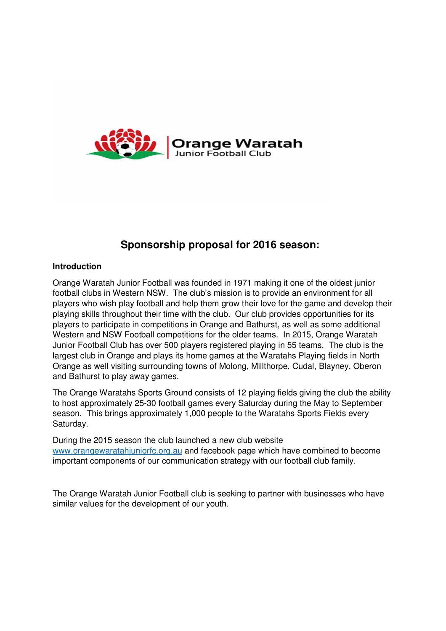

# **Sponsorship proposal for 2016 season:**

## **Introduction**

Orange Waratah Junior Football was founded in 1971 making it one of the oldest junior football clubs in Western NSW. The club's mission is to provide an environment for all players who wish play football and help them grow their love for the game and develop their playing skills throughout their time with the club. Our club provides opportunities for its players to participate in competitions in Orange and Bathurst, as well as some additional Western and NSW Football competitions for the older teams. In 2015, Orange Waratah Junior Football Club has over 500 players registered playing in 55 teams. The club is the largest club in Orange and plays its home games at the Waratahs Playing fields in North Orange as well visiting surrounding towns of Molong, Millthorpe, Cudal, Blayney, Oberon and Bathurst to play away games.

The Orange Waratahs Sports Ground consists of 12 playing fields giving the club the ability to host approximately 25-30 football games every Saturday during the May to September season. This brings approximately 1,000 people to the Waratahs Sports Fields every Saturday.

During the 2015 season the club launched a new club website www.orangewaratahjuniorfc.org.au and facebook page which have combined to become important components of our communication strategy with our football club family.

The Orange Waratah Junior Football club is seeking to partner with businesses who have similar values for the development of our youth.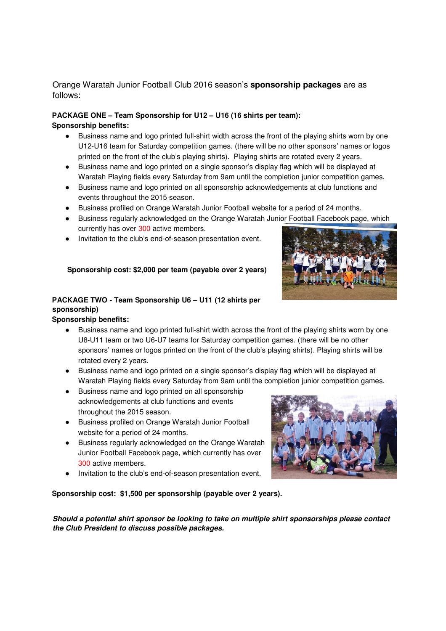## Orange Waratah Junior Football Club 2016 season's **sponsorship packages** are as follows:

### **PACKAGE ONE – Team Sponsorship for U12 – U16 (16 shirts per team): Sponsorship benefits:**

- Business name and logo printed full-shirt width across the front of the playing shirts worn by one U12-U16 team for Saturday competition games. (there will be no other sponsors' names or logos printed on the front of the club's playing shirts). Playing shirts are rotated every 2 years.
- Business name and logo printed on a single sponsor's display flag which will be displayed at Waratah Playing fields every Saturday from 9am until the completion junior competition games.
- Business name and logo printed on all sponsorship acknowledgements at club functions and events throughout the 2015 season.
- Business profiled on Orange Waratah Junior Football website for a period of 24 months.
- Business regularly acknowledged on the Orange Waratah Junior Football Facebook page, which currently has over 300 active members.
- Invitation to the club's end-of-season presentation event.

### **Sponsorship cost: \$2,000 per team (payable over 2 years)**

## **PACKAGE TWO - Team Sponsorship U6 – U11 (12 shirts per sponsorship)**

#### **Sponsorship benefits:**

- Business name and logo printed full-shirt width across the front of the playing shirts worn by one U8-U11 team or two U6-U7 teams for Saturday competition games. (there will be no other sponsors' names or logos printed on the front of the club's playing shirts). Playing shirts will be rotated every 2 years.
- Business name and logo printed on a single sponsor's display flag which will be displayed at Waratah Playing fields every Saturday from 9am until the completion junior competition games.
- Business name and logo printed on all sponsorship acknowledgements at club functions and events throughout the 2015 season.
- Business profiled on Orange Waratah Junior Football website for a period of 24 months.
- Business regularly acknowledged on the Orange Waratah Junior Football Facebook page, which currently has over 300 active members.
- Invitation to the club's end-of-season presentation event.

**Sponsorship cost: \$1,500 per sponsorship (payable over 2 years).** 

**Should a potential shirt sponsor be looking to take on multiple shirt sponsorships please contact the Club President to discuss possible packages.** 



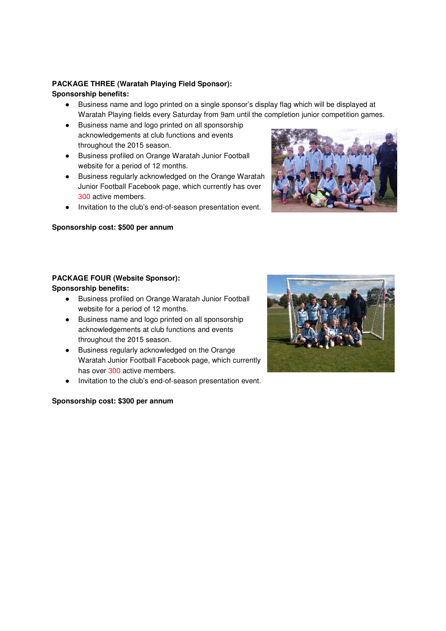## **PACKAGE THREE (Waratah Playing Field Sponsor):**

### **Sponsorship benefits:**

- Business name and logo printed on a single sponsor's display flag which will be displayed at Waratah Playing fields every Saturday from 9am until the completion junior competition games.
- Business name and logo printed on all sponsorship acknowledgements at club functions and events throughout the 2015 season.
- Business profiled on Orange Waratah Junior Football website for a period of 12 months.
- Business regularly acknowledged on the Orange Waratah Junior Football Facebook page, which currently has over 300 active members.
- Invitation to the club's end-of-season presentation event.

## **Sponsorship cost: \$500 per annum**



### **PACKAGE FOUR (Website Sponsor): Sponsorship benefits:**

- Business profiled on Orange Waratah Junior Football website for a period of 12 months.
- Business name and logo printed on all sponsorship acknowledgements at club functions and events throughout the 2015 season.
- Business regularly acknowledged on the Orange Waratah Junior Football Facebook page, which currently has over 300 active members.
- Invitation to the club's end-of-season presentation event.

## **Sponsorship cost: \$300 per annum**